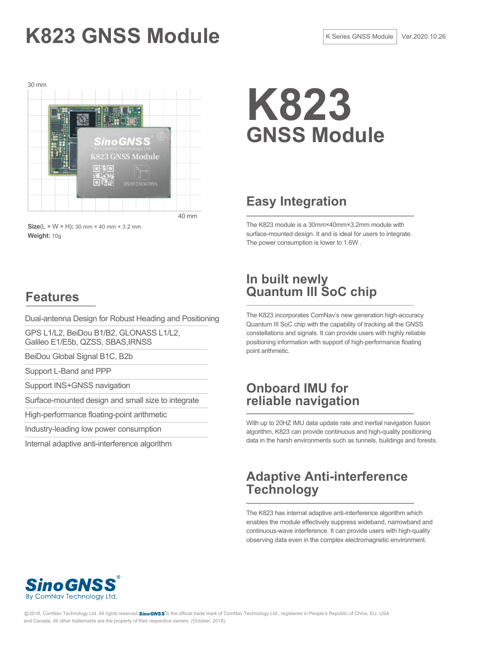# K823 GNSS Module **K** Series GNSS Module **K Series GNSS Module** Ver.2020.10.26



**K823 GNSS Module**

## **Easy Integration**

The K823 module is a 30mm×40mm×3.2mm module with surface-mounted design. It and is ideal for users to integrate. The power consumption is lower to 1.6W .

## **Features**

**Weight:** 10g

Dual-antenna Design for Robust Heading and Positioning

GPS L1/L2, BeiDou B1/B2, GLONASS L1/L2, Galileo E1/E5b, QZSS, SBAS,IRNSS

BeiDou Global Signal B1C, B2b

Support L-Band and PPP

Support INS+GNSS navigation

Surface-mounted design and small size to integrate

High-performance floating-point arithmetic

Industry-leading low power consumption

Internal adaptive anti-interference algorithm

## **In built newly Quantum III SoC chip**

The K823 incorporates ComNav's new generation high-accuracy Quantum III SoC chip with the capability of tracking all the GNSS constellations and signals. It can provide users with highly reliable positioning information with support of high-performance floating point arithmetic.

## **Onboard IMU for reliable navigation**

With up to 20HZ IMU data update rate and inertial navigation fusion algorithm, K823 can provide continuous and high-quality positioning data in the harsh environments such as tunnels, buildings and forests.

## **Adaptive Anti-interference Technology**

The K823 has internal adaptive anti-interference algorithm which enables the module effectively suppress wideband, narrowband and continuous-wave interference. It can provide users with high-quality observing data even in the complex electromagnetic environment.



@2018, ComNav Technology Ltd. All rights reserved. SinoGNSS is the official trade mark of ComNav Technology Ltd., registered in People's Republic of China, EU, USA and Canada. All other trademarks are the property of their respective owners. (October, 2018).